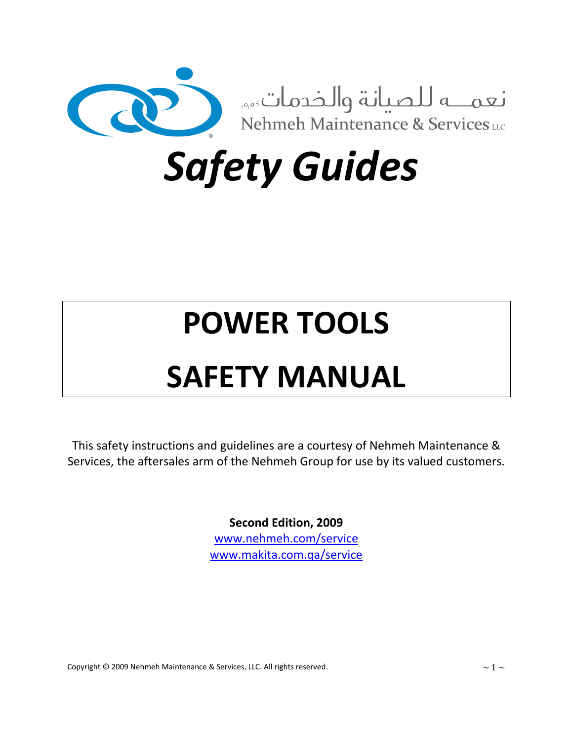

*Safety Guides*

# **POWER TOOLS**

# **SAFETY MANUAL**

This safety instructions and guidelines are a courtesy of Nehmeh Maintenance & Services, the aftersales arm of the Nehmeh Group for use by its valued customers.

> **Second Edition, 2009** www.nehmeh.com/service www.makita.com.qa/service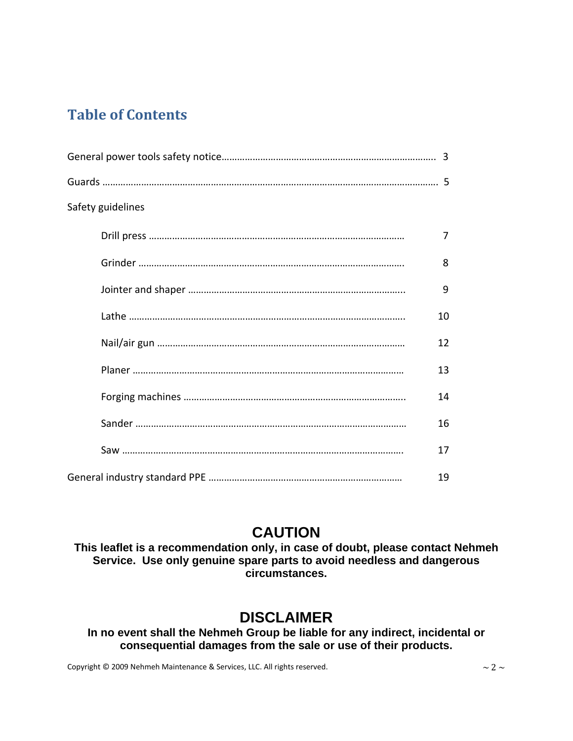# **Table of Contents**

| Safety guidelines |    |
|-------------------|----|
|                   | 7  |
|                   | 8  |
|                   | 9  |
|                   | 10 |
|                   | 12 |
|                   | 13 |
|                   | 14 |
|                   | 16 |
|                   | 17 |
|                   | 19 |

# **CAUTION**

**This leaflet is a recommendation only, in case of doubt, please contact Nehmeh Service. Use only genuine spare parts to avoid needless and dangerous circumstances.** 

# **DISCLAIMER**

**In no event shall the Nehmeh Group be liable for any indirect, incidental or consequential damages from the sale or use of their products.**

Copyright © 2009 Nehmeh Maintenance & Services, LLC. All rights reserved.  $\sim 2 \sim$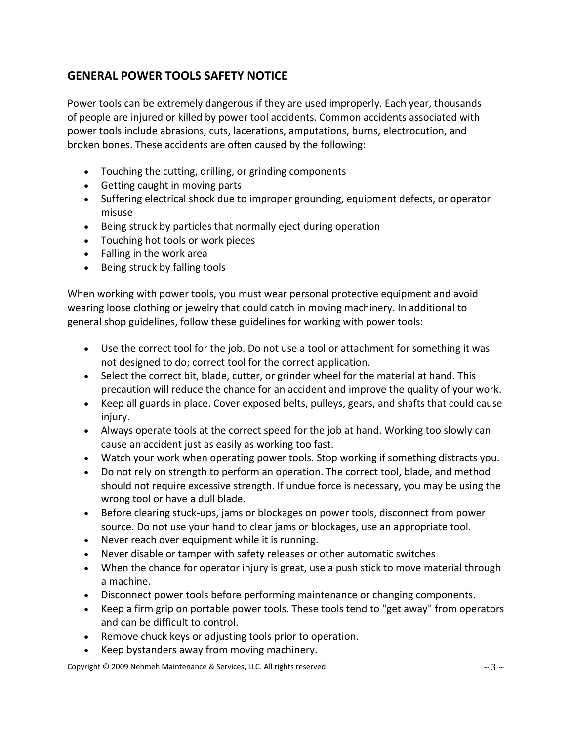# **GENERAL POWER TOOLS SAFETY NOTICE**

Power tools can be extremely dangerous if they are used improperly. Each year, thousands of people are injured or killed by power tool accidents. Common accidents associated with power tools include abrasions, cuts, lacerations, amputations, burns, electrocution, and broken bones. These accidents are often caused by the following:

- Touching the cutting, drilling, or grinding components
- Getting caught in moving parts
- Suffering electrical shock due to improper grounding, equipment defects, or operator misuse
- Being struck by particles that normally eject during operation
- Touching hot tools or work pieces
- Falling in the work area
- Being struck by falling tools

When working with power tools, you must wear personal protective equipment and avoid wearing loose clothing or jewelry that could catch in moving machinery. In additional to general shop guidelines, follow these guidelines for working with power tools:

- Use the correct tool for the job. Do not use a tool or attachment for something it was not designed to do; correct tool for the correct application.
- Select the correct bit, blade, cutter, or grinder wheel for the material at hand. This precaution will reduce the chance for an accident and improve the quality of your work.
- Keep all guards in place. Cover exposed belts, pulleys, gears, and shafts that could cause injury.
- Always operate tools at the correct speed for the job at hand. Working too slowly can cause an accident just as easily as working too fast.
- Watch your work when operating power tools. Stop working if something distracts you.
- Do not rely on strength to perform an operation. The correct tool, blade, and method should not require excessive strength. If undue force is necessary, you may be using the wrong tool or have a dull blade.
- Before clearing stuck‐ups, jams or blockages on power tools, disconnect from power source. Do not use your hand to clear jams or blockages, use an appropriate tool.
- Never reach over equipment while it is running.
- Never disable or tamper with safety releases or other automatic switches
- When the chance for operator injury is great, use a push stick to move material through a machine.
- Disconnect power tools before performing maintenance or changing components.
- Keep a firm grip on portable power tools. These tools tend to "get away" from operators and can be difficult to control.
- Remove chuck keys or adjusting tools prior to operation.
- Keep bystanders away from moving machinery.

Copyright © 2009 Nehmeh Maintenance & Services, LLC. All rights reserved.  $\sim$  3  $\sim$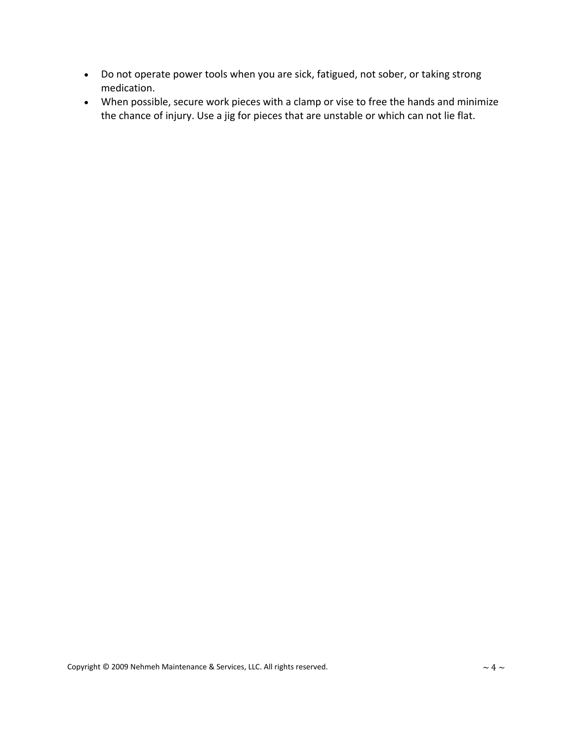- Do not operate power tools when you are sick, fatigued, not sober, or taking strong medication.
- When possible, secure work pieces with a clamp or vise to free the hands and minimize the chance of injury. Use a jig for pieces that are unstable or which can not lie flat.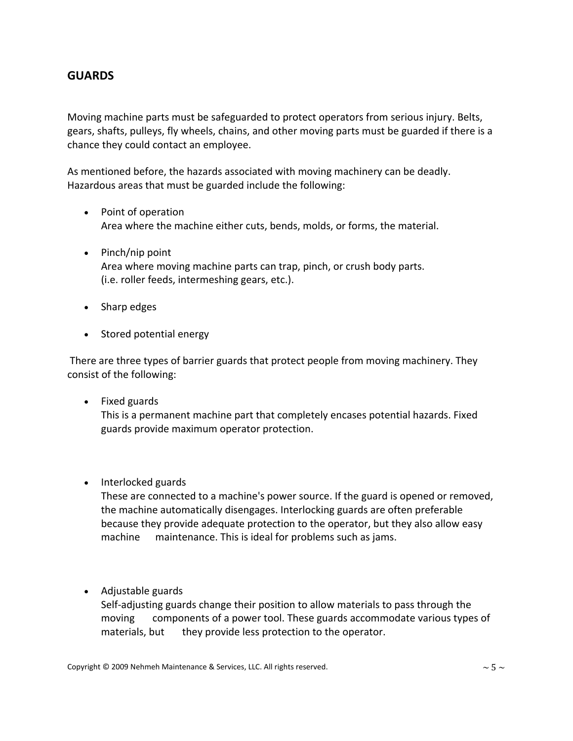## **GUARDS**

Moving machine parts must be safeguarded to protect operators from serious injury. Belts, gears, shafts, pulleys, fly wheels, chains, and other moving parts must be guarded if there is a chance they could contact an employee.

As mentioned before, the hazards associated with moving machinery can be deadly. Hazardous areas that must be guarded include the following:

- Point of operation Area where the machine either cuts, bends, molds, or forms, the material.
- Pinch/nip point Area where moving machine parts can trap, pinch, or crush body parts. (i.e. roller feeds, intermeshing gears, etc.).
- Sharp edges
- Stored potential energy

There are three types of barrier guards that protect people from moving machinery. They consist of the following:

- Fixed guards This is a permanent machine part that completely encases potential hazards. Fixed guards provide maximum operator protection.
- Interlocked guards

These are connected to a machine's power source. If the guard is opened or removed, the machine automatically disengages. Interlocking guards are often preferable because they provide adequate protection to the operator, but they also allow easy machine maintenance. This is ideal for problems such as jams.

• Adjustable guards

Self‐adjusting guards change their position to allow materials to pass through the moving components of a power tool. These guards accommodate various types of materials, but they provide less protection to the operator.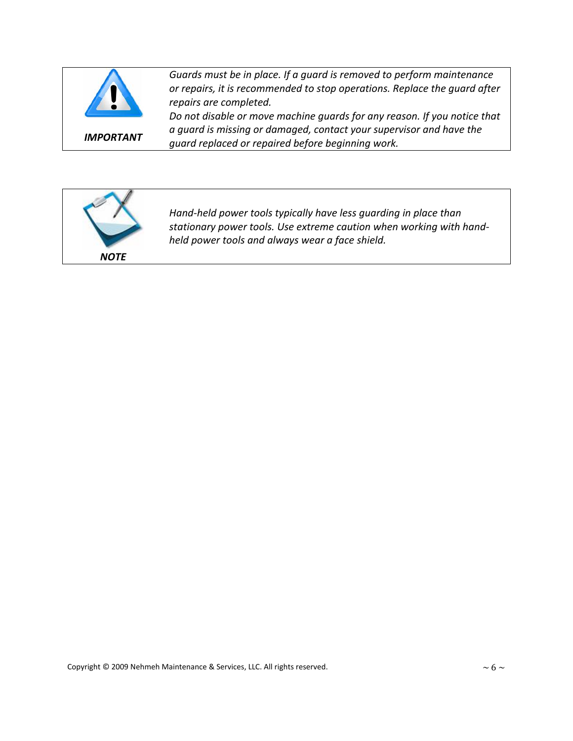

*IMPORTANT*

*Guards must be in place. If a guard is removed to perform maintenance or repairs, it is recommended to stop operations. Replace the guard after repairs are completed.*

*Do not disable or move machine guards for any reason. If you notice that a guard is missing or damaged, contact your supervisor and have the guard replaced or repaired before beginning work.*



*Hand‐held power tools typically have less guarding in place than stationary power tools. Use extreme caution when working with hand‐ held power tools and always wear a face shield.*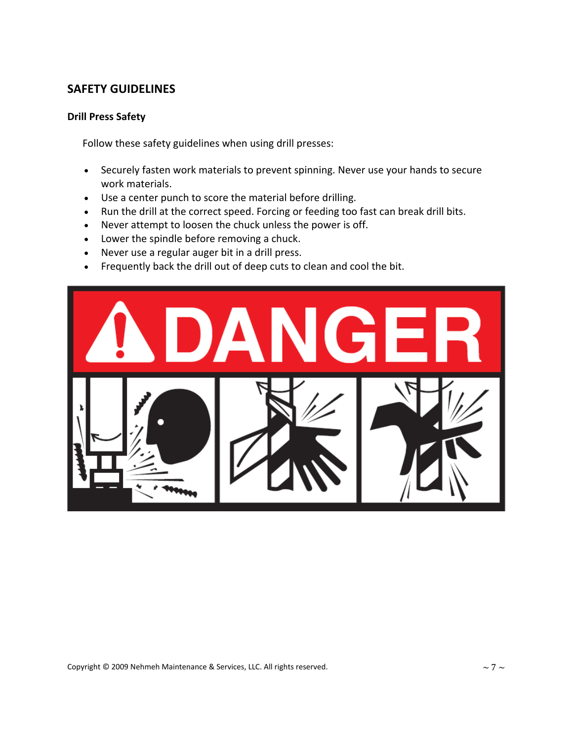#### **Drill Press Safety**

Follow these safety guidelines when using drill presses:

- Securely fasten work materials to prevent spinning. Never use your hands to secure work materials.
- Use a center punch to score the material before drilling.
- Run the drill at the correct speed. Forcing or feeding too fast can break drill bits.
- Never attempt to loosen the chuck unless the power is off.
- Lower the spindle before removing a chuck.
- Never use a regular auger bit in a drill press.
- Frequently back the drill out of deep cuts to clean and cool the bit.

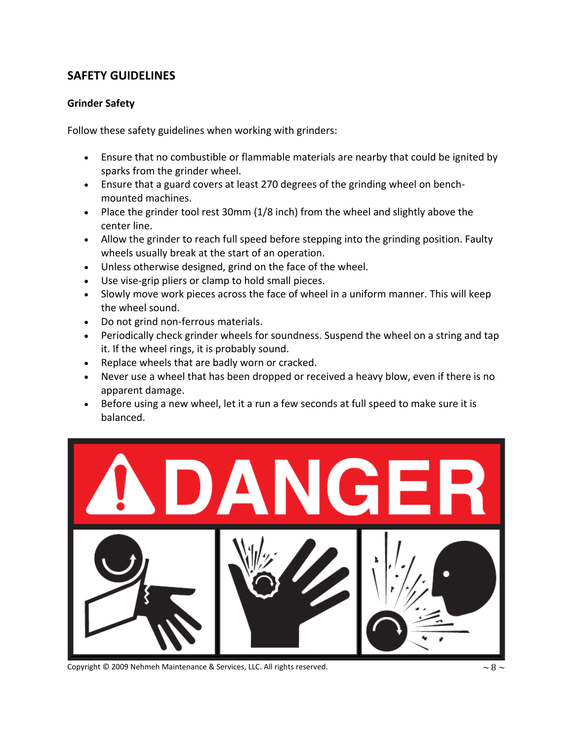#### **Grinder Safety**

Follow these safety guidelines when working with grinders:

- Ensure that no combustible or flammable materials are nearby that could be ignited by sparks from the grinder wheel.
- Ensure that a guard covers at least 270 degrees of the grinding wheel on bench‐ mounted machines.
- Place the grinder tool rest 30mm (1/8 inch) from the wheel and slightly above the center line.
- Allow the grinder to reach full speed before stepping into the grinding position. Faulty wheels usually break at the start of an operation.
- Unless otherwise designed, grind on the face of the wheel.
- Use vise‐grip pliers or clamp to hold small pieces.
- Slowly move work pieces across the face of wheel in a uniform manner. This will keep the wheel sound.
- Do not grind non-ferrous materials.
- Periodically check grinder wheels for soundness. Suspend the wheel on a string and tap it. If the wheel rings, it is probably sound.
- Replace wheels that are badly worn or cracked.
- Never use a wheel that has been dropped or received a heavy blow, even if there is no apparent damage.
- Before using a new wheel, let it a run a few seconds at full speed to make sure it is balanced.



Copyright © 2009 Nehmeh Maintenance & Services, LLC. All rights reserved.  $\sim 8 \sim$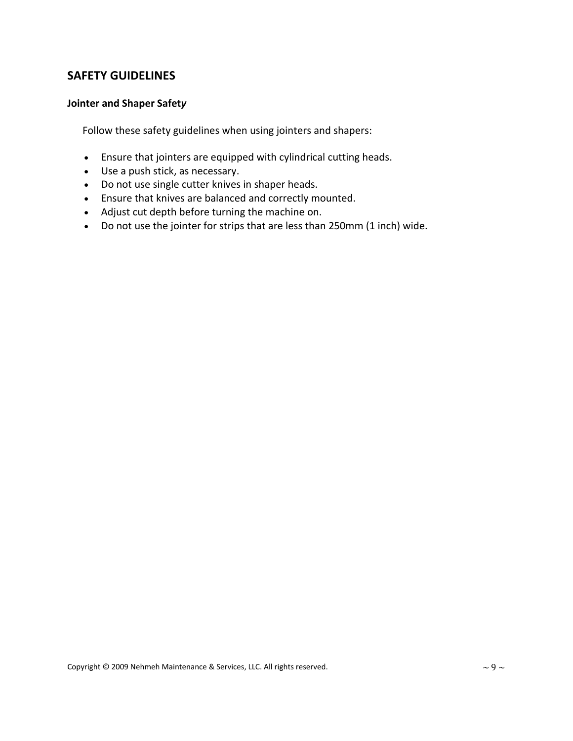#### **Jointer and Shaper Safet***y*

Follow these safety guidelines when using jointers and shapers:

- Ensure that jointers are equipped with cylindrical cutting heads.
- Use a push stick, as necessary.
- Do not use single cutter knives in shaper heads.
- Ensure that knives are balanced and correctly mounted.
- Adjust cut depth before turning the machine on.
- Do not use the jointer for strips that are less than 250mm (1 inch) wide.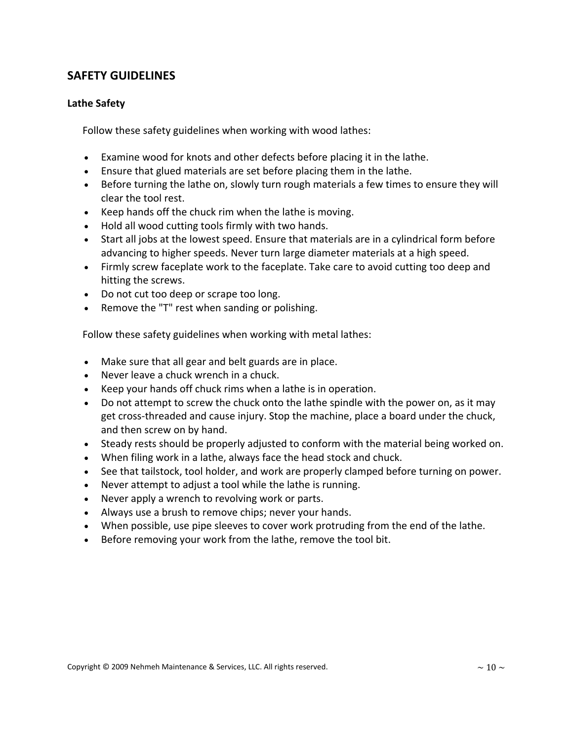#### **Lathe Safety**

Follow these safety guidelines when working with wood lathes:

- Examine wood for knots and other defects before placing it in the lathe.
- Ensure that glued materials are set before placing them in the lathe.
- Before turning the lathe on, slowly turn rough materials a few times to ensure they will clear the tool rest.
- Keep hands off the chuck rim when the lathe is moving.
- Hold all wood cutting tools firmly with two hands.
- Start all jobs at the lowest speed. Ensure that materials are in a cylindrical form before advancing to higher speeds. Never turn large diameter materials at a high speed.
- Firmly screw faceplate work to the faceplate. Take care to avoid cutting too deep and hitting the screws.
- Do not cut too deep or scrape too long.
- Remove the "T" rest when sanding or polishing.

Follow these safety guidelines when working with metal lathes:

- Make sure that all gear and belt guards are in place.
- Never leave a chuck wrench in a chuck.
- Keep your hands off chuck rims when a lathe is in operation.
- Do not attempt to screw the chuck onto the lathe spindle with the power on, as it may get cross-threaded and cause injury. Stop the machine, place a board under the chuck, and then screw on by hand.
- Steady rests should be properly adjusted to conform with the material being worked on.
- When filing work in a lathe, always face the head stock and chuck.
- See that tailstock, tool holder, and work are properly clamped before turning on power.
- Never attempt to adjust a tool while the lathe is running.
- Never apply a wrench to revolving work or parts.
- Always use a brush to remove chips; never your hands.
- When possible, use pipe sleeves to cover work protruding from the end of the lathe.
- Before removing your work from the lathe, remove the tool bit.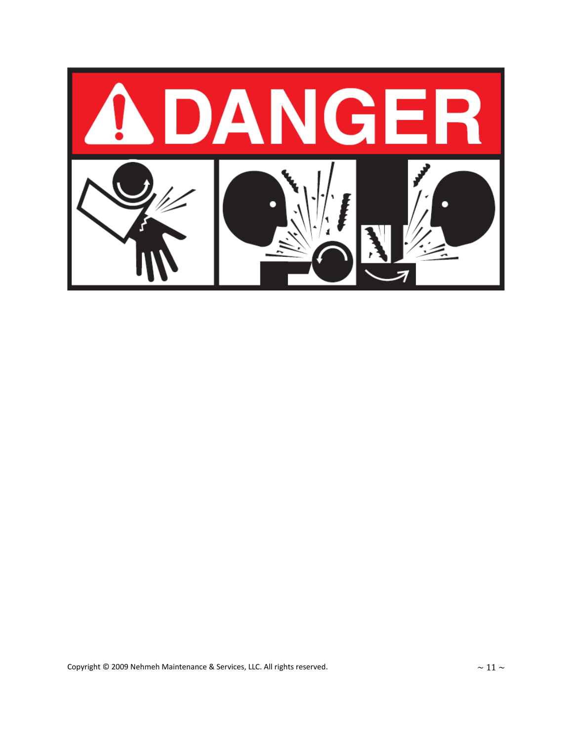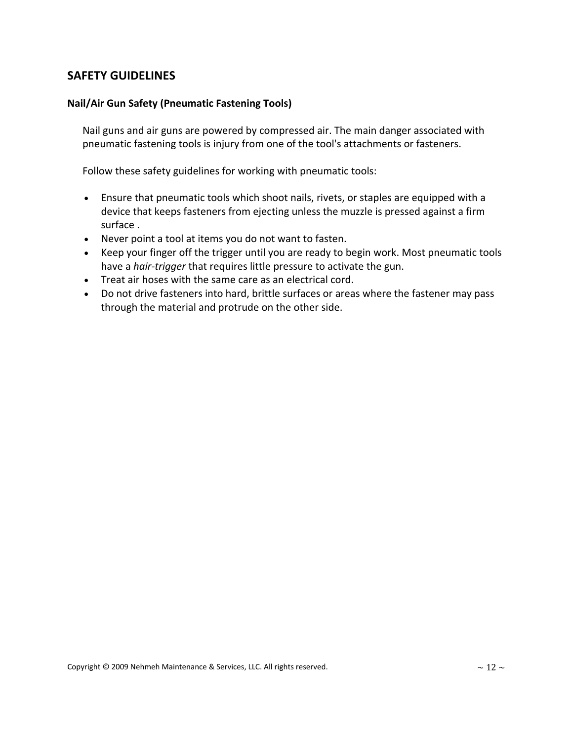#### **Nail/Air Gun Safety (Pneumatic Fastening Tools)**

 Nail guns and air guns are powered by compressed air. The main danger associated with pneumatic fastening tools is injury from one of the tool's attachments or fasteners.

Follow these safety guidelines for working with pneumatic tools:

- Ensure that pneumatic tools which shoot nails, rivets, or staples are equipped with a device that keeps fasteners from ejecting unless the muzzle is pressed against a firm surface .
- Never point a tool at items you do not want to fasten.
- Keep your finger off the trigger until you are ready to begin work. Most pneumatic tools have a *hair-trigger* that requires little pressure to activate the gun.
- Treat air hoses with the same care as an electrical cord.
- Do not drive fasteners into hard, brittle surfaces or areas where the fastener may pass through the material and protrude on the other side.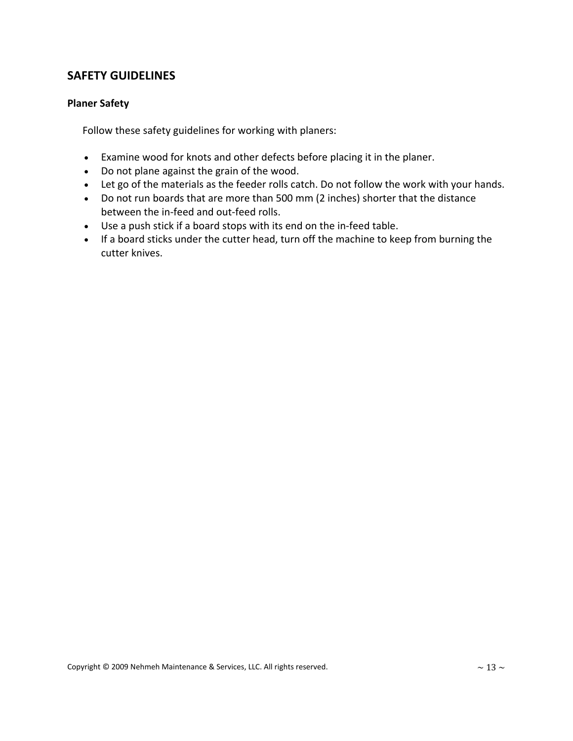#### **Planer Safety**

Follow these safety guidelines for working with planers:

- Examine wood for knots and other defects before placing it in the planer.
- Do not plane against the grain of the wood.
- Let go of the materials as the feeder rolls catch. Do not follow the work with your hands.
- Do not run boards that are more than 500 mm (2 inches) shorter that the distance between the in‐feed and out‐feed rolls.
- Use a push stick if a board stops with its end on the in-feed table.
- If a board sticks under the cutter head, turn off the machine to keep from burning the cutter knives.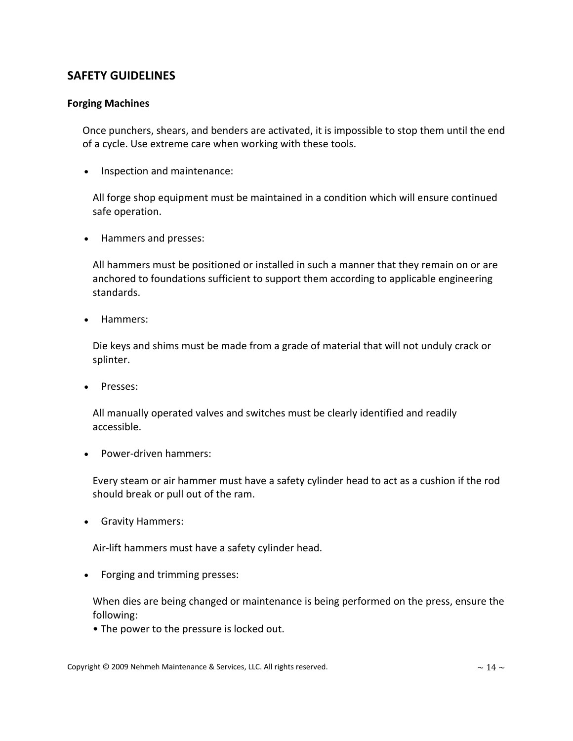#### **Forging Machines**

 Once punchers, shears, and benders are activated, it is impossible to stop them until the end of a cycle. Use extreme care when working with these tools.

• Inspection and maintenance:

 All forge shop equipment must be maintained in a condition which will ensure continued safe operation.

• Hammers and presses:

 All hammers must be positioned or installed in such a manner that they remain on or are anchored to foundations sufficient to support them according to applicable engineering standards.

• Hammers:

 Die keys and shims must be made from a grade of material that will not unduly crack or splinter.

• Presses:

 All manually operated valves and switches must be clearly identified and readily accessible.

• Power‐driven hammers:

 Every steam or air hammer must have a safety cylinder head to act as a cushion if the rod should break or pull out of the ram.

• Gravity Hammers:

Air‐lift hammers must have a safety cylinder head.

• Forging and trimming presses:

 When dies are being changed or maintenance is being performed on the press, ensure the following:

• The power to the pressure is locked out.

Copyright © 2009 Nehmeh Maintenance & Services, LLC. All rights reserved.  $\sim 14 \sim$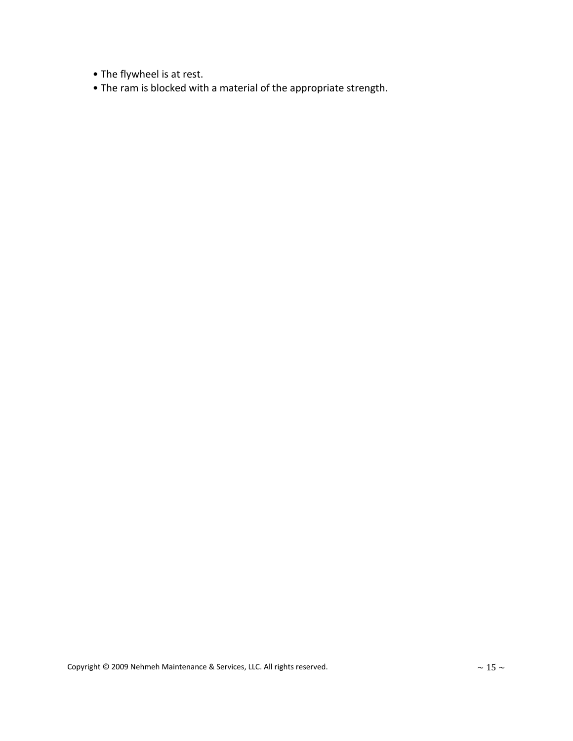- The flywheel is at rest.
- The ram is blocked with a material of the appropriate strength.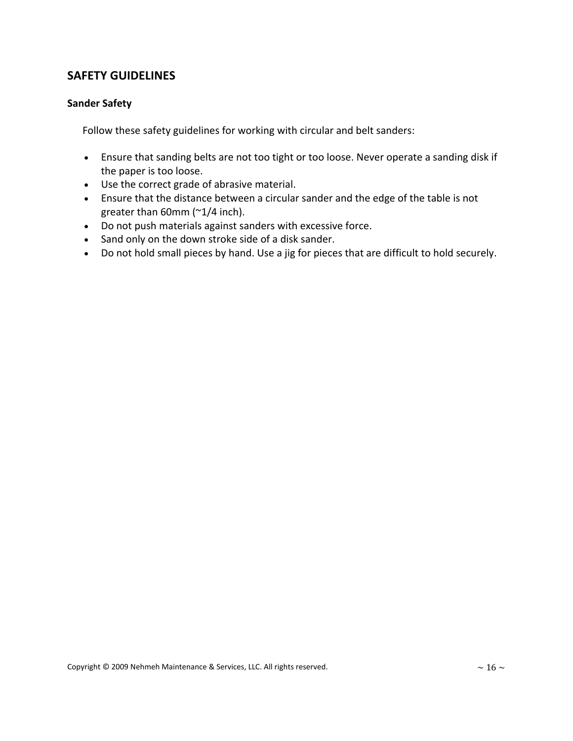#### **Sander Safety**

Follow these safety guidelines for working with circular and belt sanders:

- Ensure that sanding belts are not too tight or too loose. Never operate a sanding disk if the paper is too loose.
- Use the correct grade of abrasive material.
- Ensure that the distance between a circular sander and the edge of the table is not greater than 60mm (~1/4 inch).
- Do not push materials against sanders with excessive force.
- Sand only on the down stroke side of a disk sander.
- Do not hold small pieces by hand. Use a jig for pieces that are difficult to hold securely.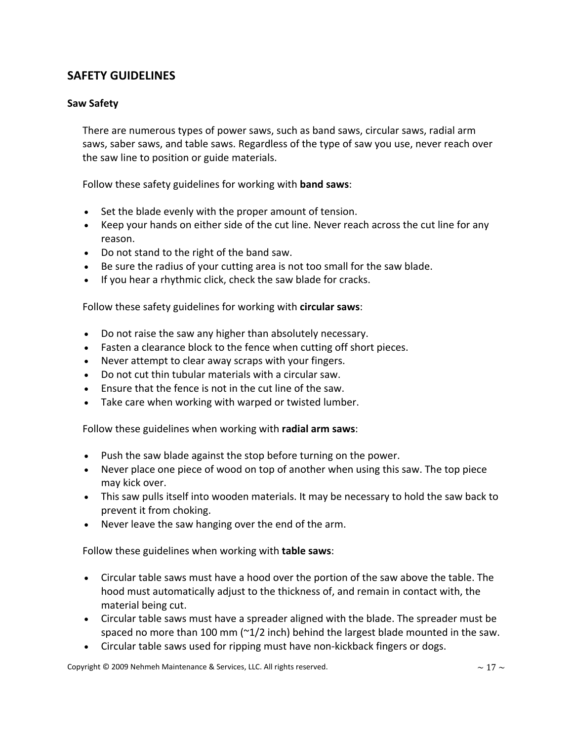#### **Saw Safety**

 There are numerous types of power saws, such as band saws, circular saws, radial arm saws, saber saws, and table saws. Regardless of the type of saw you use, never reach over the saw line to position or guide materials.

Follow these safety guidelines for working with **band saws**:

- Set the blade evenly with the proper amount of tension.
- Keep your hands on either side of the cut line. Never reach across the cut line for any reason.
- Do not stand to the right of the band saw.
- Be sure the radius of your cutting area is not too small for the saw blade.
- If you hear a rhythmic click, check the saw blade for cracks.

Follow these safety guidelines for working with **circular saws**:

- Do not raise the saw any higher than absolutely necessary.
- Fasten a clearance block to the fence when cutting off short pieces.
- Never attempt to clear away scraps with your fingers.
- Do not cut thin tubular materials with a circular saw.
- Ensure that the fence is not in the cut line of the saw.
- Take care when working with warped or twisted lumber.

Follow these guidelines when working with **radial arm saws**:

- Push the saw blade against the stop before turning on the power.
- Never place one piece of wood on top of another when using this saw. The top piece may kick over.
- This saw pulls itself into wooden materials. It may be necessary to hold the saw back to prevent it from choking.
- Never leave the saw hanging over the end of the arm.

Follow these guidelines when working with **table saws**:

- Circular table saws must have a hood over the portion of the saw above the table. The hood must automatically adjust to the thickness of, and remain in contact with, the material being cut.
- Circular table saws must have a spreader aligned with the blade. The spreader must be spaced no more than 100 mm ( $\gamma$ 1/2 inch) behind the largest blade mounted in the saw.
- Circular table saws used for ripping must have non-kickback fingers or dogs.

Copyright © 2009 Nehmeh Maintenance & Services, LLC. All rights reserved.  $\sim 17 \sim$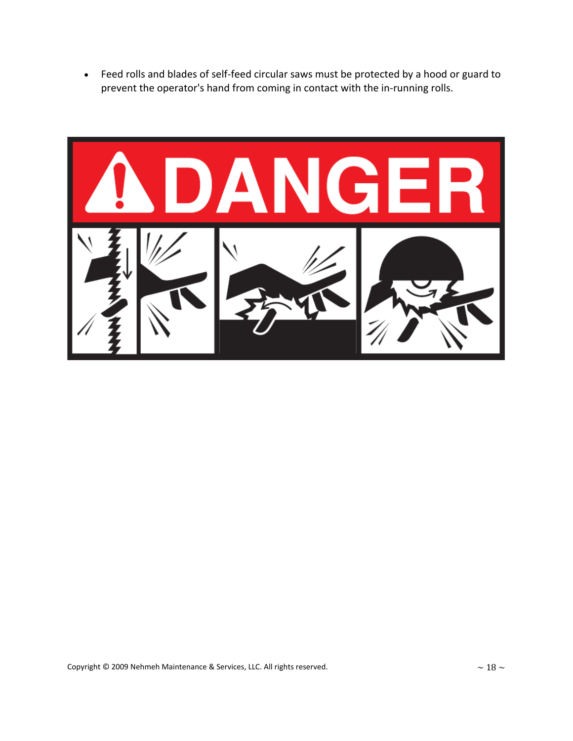• Feed rolls and blades of self‐feed circular saws must be protected by a hood or guard to prevent the operator's hand from coming in contact with the in-running rolls.